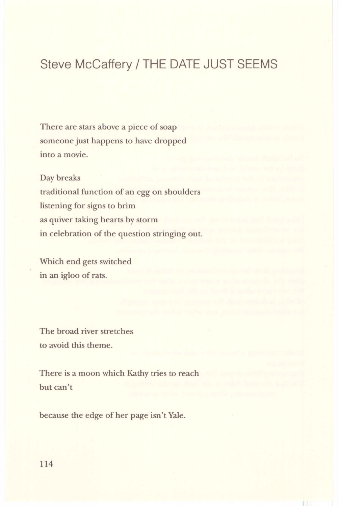## Steve McCaffery / THE DATE JUST SEEMS

There are stars above a piece of soap someone just happens to have dropped into a movie.

Day breaks

traditional function of an egg on shoulders listening for signs to brim as quiver taking hearts by storm in celebration of the question stringing out.

Which end gets switched in an igloo of rats.

The broad river stretches to avoid this theme.

There is a moon which Kathy tries to reach but can't

because the edge of her page isn't Yale.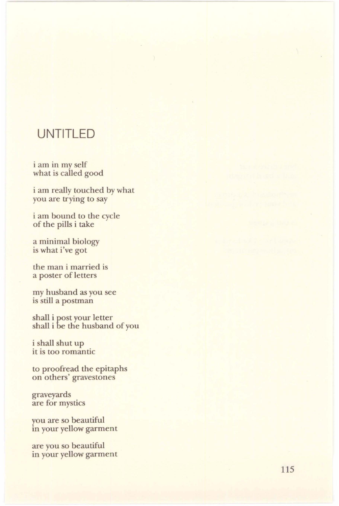## **UNTITLED**

i am in my self what is called good

i am really touched by what you are trying to say

i am bound to the cycle of the pills i take

a minimal biology is what i've got

the man i married is a poster of letters

my husband as you see is still a postman

shall i post your letter shall i be the husband of you

i shall shut up it is too romantic

to proofread the epitaphs on others' gravestones

graveyards are for mystics

you are so beautiful in your yellow garment

are you so beautiful in your yellow garment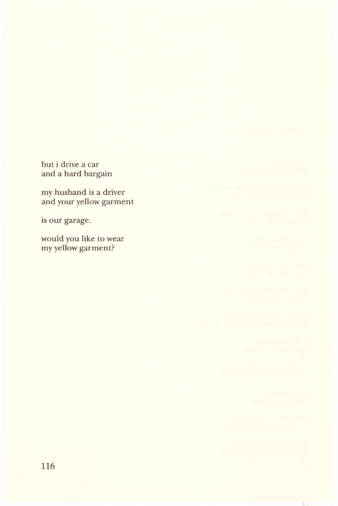but i drive a car and a hard bargain

my husband is a driver and your yellow garment

is our garage.

would you like to wear my yellow garment?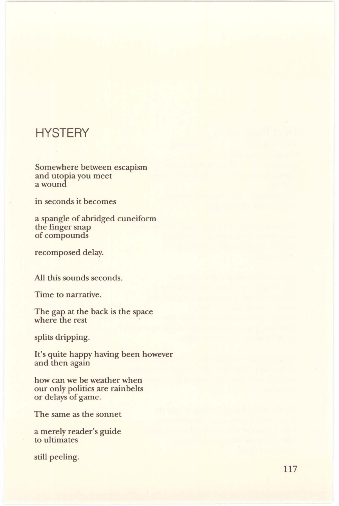## **HYSTERY**

Somewhere between escapism and utopia you meet a wound

in seconds it becomes

a spangle of abridged cuneiform the finger snap of compounds

recomposed delay.

All this sounds seconds.

Time to narrative.

The gap at the back is the space where the rest

splits dripping.

It's quite happy having been however and then again

how can we be weather when our only politics are rainbelts or delays of game.

The same as the sonnet

a merely reader's guide to ultimates

still peeling.